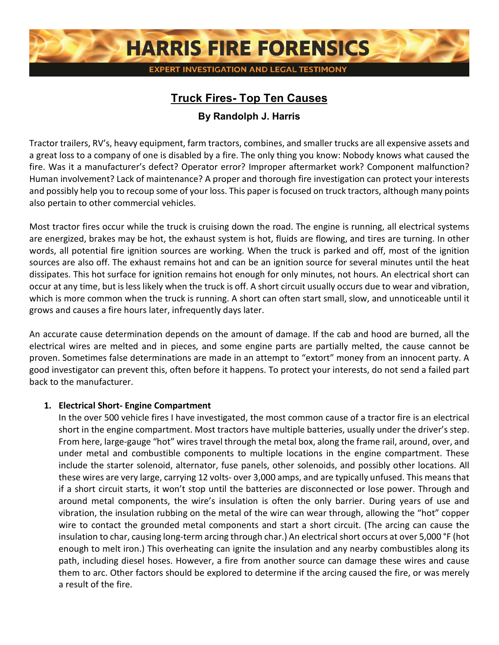

# **Truck Fires- Top Ten Causes**

# **By Randolph J. Harris**

Tractor trailers, RV's, heavy equipment, farm tractors, combines, and smaller trucks are all expensive assets and a great loss to a company of one is disabled by a fire. The only thing you know: Nobody knows what caused the fire. Was it a manufacturer's defect? Operator error? Improper aftermarket work? Component malfunction? Human involvement? Lack of maintenance? A proper and thorough fire investigation can protect your interests and possibly help you to recoup some of your loss. This paper is focused on truck tractors, although many points also pertain to other commercial vehicles.

Most tractor fires occur while the truck is cruising down the road. The engine is running, all electrical systems are energized, brakes may be hot, the exhaust system is hot, fluids are flowing, and tires are turning. In other words, all potential fire ignition sources are working. When the truck is parked and off, most of the ignition sources are also off. The exhaust remains hot and can be an ignition source for several minutes until the heat dissipates. This hot surface for ignition remains hot enough for only minutes, not hours. An electrical short can occur at any time, but is less likely when the truck is off. A short circuit usually occurs due to wear and vibration, which is more common when the truck is running. A short can often start small, slow, and unnoticeable until it grows and causes a fire hours later, infrequently days later.

An accurate cause determination depends on the amount of damage. If the cab and hood are burned, all the electrical wires are melted and in pieces, and some engine parts are partially melted, the cause cannot be proven. Sometimes false determinations are made in an attempt to "extort" money from an innocent party. A good investigator can prevent this, often before it happens. To protect your interests, do not send a failed part back to the manufacturer.

#### **1. Electrical Short- Engine Compartment**

In the over 500 vehicle fires I have investigated, the most common cause of a tractor fire is an electrical short in the engine compartment. Most tractors have multiple batteries, usually under the driver's step. From here, large-gauge "hot" wires travel through the metal box, along the frame rail, around, over, and under metal and combustible components to multiple locations in the engine compartment. These include the starter solenoid, alternator, fuse panels, other solenoids, and possibly other locations. All these wires are very large, carrying 12 volts- over 3,000 amps, and are typically unfused. This means that if a short circuit starts, it won't stop until the batteries are disconnected or lose power. Through and around metal components, the wire's insulation is often the only barrier. During years of use and vibration, the insulation rubbing on the metal of the wire can wear through, allowing the "hot" copper wire to contact the grounded metal components and start a short circuit. (The arcing can cause the insulation to char, causing long-term arcing through char.) An electrical short occurs at over 5,000 °F (hot enough to melt iron.) This overheating can ignite the insulation and any nearby combustibles along its path, including diesel hoses. However, a fire from another source can damage these wires and cause them to arc. Other factors should be explored to determine if the arcing caused the fire, or was merely a result of the fire.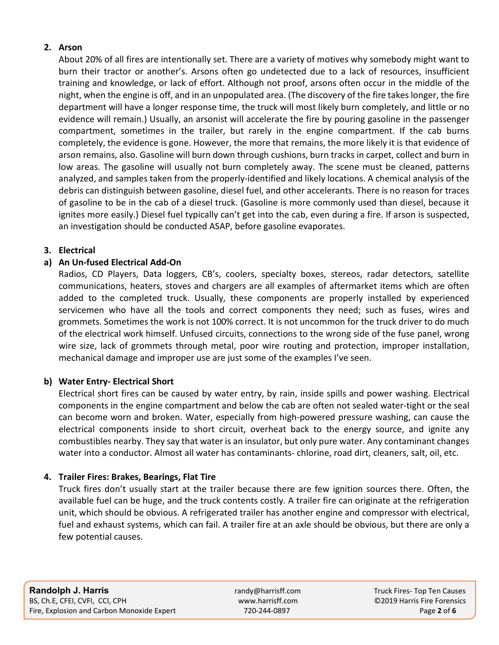#### **2. Arson**

About 20% of all fires are intentionally set. There are a variety of motives why somebody might want to burn their tractor or another's. Arsons often go undetected due to a lack of resources, insufficient training and knowledge, or lack of effort. Although not proof, arsons often occur in the middle of the night, when the engine is off, and in an unpopulated area. (The discovery of the fire takes longer, the fire department will have a longer response time, the truck will most likely burn completely, and little or no evidence will remain.) Usually, an arsonist will accelerate the fire by pouring gasoline in the passenger compartment, sometimes in the trailer, but rarely in the engine compartment. If the cab burns completely, the evidence is gone. However, the more that remains, the more likely it is that evidence of arson remains, also. Gasoline will burn down through cushions, burn tracks in carpet, collect and burn in low areas. The gasoline will usually not burn completely away. The scene must be cleaned, patterns analyzed, and samples taken from the properly-identified and likely locations. A chemical analysis of the debris can distinguish between gasoline, diesel fuel, and other accelerants. There is no reason for traces of gasoline to be in the cab of a diesel truck. (Gasoline is more commonly used than diesel, because it ignites more easily.) Diesel fuel typically can't get into the cab, even during a fire. If arson is suspected, an investigation should be conducted ASAP, before gasoline evaporates.

#### **3. Electrical**

#### **a) An Un-fused Electrical Add-On**

Radios, CD Players, Data loggers, CB's, coolers, specialty boxes, stereos, radar detectors, satellite communications, heaters, stoves and chargers are all examples of aftermarket items which are often added to the completed truck. Usually, these components are properly installed by experienced servicemen who have all the tools and correct components they need; such as fuses, wires and grommets. Sometimes the work is not 100% correct. It is not uncommon for the truck driver to do much of the electrical work himself. Unfused circuits, connections to the wrong side of the fuse panel, wrong wire size, lack of grommets through metal, poor wire routing and protection, improper installation, mechanical damage and improper use are just some of the examples I've seen.

#### **b) Water Entry- Electrical Short**

Electrical short fires can be caused by water entry, by rain, inside spills and power washing. Electrical components in the engine compartment and below the cab are often not sealed water-tight or the seal can become worn and broken. Water, especially from high-powered pressure washing, can cause the electrical components inside to short circuit, overheat back to the energy source, and ignite any combustibles nearby. They say that water is an insulator, but only pure water. Any contaminant changes water into a conductor. Almost all water has contaminants- chlorine, road dirt, cleaners, salt, oil, etc.

#### **4. Trailer Fires: Brakes, Bearings, Flat Tire**

Truck fires don't usually start at the trailer because there are few ignition sources there. Often, the available fuel can be huge, and the truck contents costly. A trailer fire can originate at the refrigeration unit, which should be obvious. A refrigerated trailer has another engine and compressor with electrical, fuel and exhaust systems, which can fail. A trailer fire at an axle should be obvious, but there are only a few potential causes.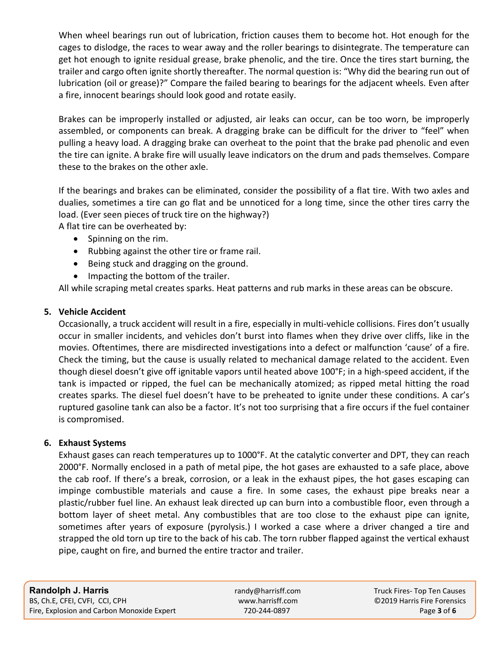When wheel bearings run out of lubrication, friction causes them to become hot. Hot enough for the cages to dislodge, the races to wear away and the roller bearings to disintegrate. The temperature can get hot enough to ignite residual grease, brake phenolic, and the tire. Once the tires start burning, the trailer and cargo often ignite shortly thereafter. The normal question is: "Why did the bearing run out of lubrication (oil or grease)?" Compare the failed bearing to bearings for the adjacent wheels. Even after a fire, innocent bearings should look good and rotate easily.

Brakes can be improperly installed or adjusted, air leaks can occur, can be too worn, be improperly assembled, or components can break. A dragging brake can be difficult for the driver to "feel" when pulling a heavy load. A dragging brake can overheat to the point that the brake pad phenolic and even the tire can ignite. A brake fire will usually leave indicators on the drum and pads themselves. Compare these to the brakes on the other axle.

If the bearings and brakes can be eliminated, consider the possibility of a flat tire. With two axles and dualies, sometimes a tire can go flat and be unnoticed for a long time, since the other tires carry the load. (Ever seen pieces of truck tire on the highway?)

A flat tire can be overheated by:

- Spinning on the rim.
- Rubbing against the other tire or frame rail.
- Being stuck and dragging on the ground.
- Impacting the bottom of the trailer.

All while scraping metal creates sparks. Heat patterns and rub marks in these areas can be obscure.

#### **5. Vehicle Accident**

Occasionally, a truck accident will result in a fire, especially in multi-vehicle collisions. Fires don't usually occur in smaller incidents, and vehicles don't burst into flames when they drive over cliffs, like in the movies. Oftentimes, there are misdirected investigations into a defect or malfunction 'cause' of a fire. Check the timing, but the cause is usually related to mechanical damage related to the accident. Even though diesel doesn't give off ignitable vapors until heated above 100°F; in a high-speed accident, if the tank is impacted or ripped, the fuel can be mechanically atomized; as ripped metal hitting the road creates sparks. The diesel fuel doesn't have to be preheated to ignite under these conditions. A car's ruptured gasoline tank can also be a factor. It's not too surprising that a fire occurs if the fuel container is compromised.

#### **6. Exhaust Systems**

Exhaust gases can reach temperatures up to 1000°F. At the catalytic converter and DPT, they can reach 2000°F. Normally enclosed in a path of metal pipe, the hot gases are exhausted to a safe place, above the cab roof. If there's a break, corrosion, or a leak in the exhaust pipes, the hot gases escaping can impinge combustible materials and cause a fire. In some cases, the exhaust pipe breaks near a plastic/rubber fuel line. An exhaust leak directed up can burn into a combustible floor, even through a bottom layer of sheet metal. Any combustibles that are too close to the exhaust pipe can ignite, sometimes after years of exposure (pyrolysis.) I worked a case where a driver changed a tire and strapped the old torn up tire to the back of his cab. The torn rubber flapped against the vertical exhaust pipe, caught on fire, and burned the entire tractor and trailer.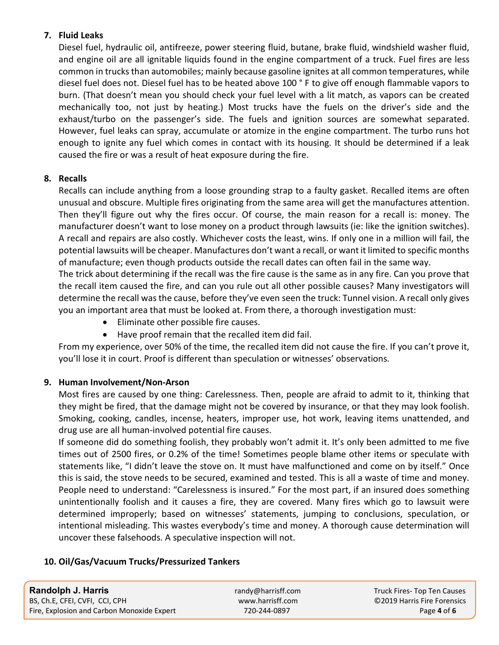## **7. Fluid Leaks**

Diesel fuel, hydraulic oil, antifreeze, power steering fluid, butane, brake fluid, windshield washer fluid, and engine oil are all ignitable liquids found in the engine compartment of a truck. Fuel fires are less common in trucks than automobiles; mainly because gasoline ignites at all common temperatures, while diesel fuel does not. Diesel fuel has to be heated above 100 ° F to give off enough flammable vapors to burn. (That doesn't mean you should check your fuel level with a lit match, as vapors can be created mechanically too, not just by heating.) Most trucks have the fuels on the driver's side and the exhaust/turbo on the passenger's side. The fuels and ignition sources are somewhat separated. However, fuel leaks can spray, accumulate or atomize in the engine compartment. The turbo runs hot enough to ignite any fuel which comes in contact with its housing. It should be determined if a leak caused the fire or was a result of heat exposure during the fire.

## **8. Recalls**

Recalls can include anything from a loose grounding strap to a faulty gasket. Recalled items are often unusual and obscure. Multiple fires originating from the same area will get the manufactures attention. Then they'll figure out why the fires occur. Of course, the main reason for a recall is: money. The manufacturer doesn't want to lose money on a product through lawsuits (ie: like the ignition switches). A recall and repairs are also costly. Whichever costs the least, wins. If only one in a million will fail, the potential lawsuits will be cheaper. Manufactures don't want a recall, or want it limited to specific months of manufacture; even though products outside the recall dates can often fail in the same way.

The trick about determining if the recall was the fire cause is the same as in any fire. Can you prove that the recall item caused the fire, and can you rule out all other possible causes? Many investigators will determine the recall was the cause, before they've even seen the truck: Tunnel vision. A recall only gives you an important area that must be looked at. From there, a thorough investigation must:

- Eliminate other possible fire causes.
- Have proof remain that the recalled item did fail.

From my experience, over 50% of the time, the recalled item did not cause the fire. If you can't prove it, you'll lose it in court. Proof is different than speculation or witnesses' observations.

# **9. Human Involvement/Non-Arson**

Most fires are caused by one thing: Carelessness. Then, people are afraid to admit to it, thinking that they might be fired, that the damage might not be covered by insurance, or that they may look foolish. Smoking, cooking, candles, incense, heaters, improper use, hot work, leaving items unattended, and drug use are all human-involved potential fire causes.

If someone did do something foolish, they probably won't admit it. It's only been admitted to me five times out of 2500 fires, or 0.2% of the time! Sometimes people blame other items or speculate with statements like, "I didn't leave the stove on. It must have malfunctioned and come on by itself." Once this is said, the stove needs to be secured, examined and tested. This is all a waste of time and money. People need to understand: "Carelessness is insured." For the most part, if an insured does something unintentionally foolish and it causes a fire, they are covered. Many fires which go to lawsuit were determined improperly; based on witnesses' statements, jumping to conclusions, speculation, or intentional misleading. This wastes everybody's time and money. A thorough cause determination will uncover these falsehoods. A speculative inspection will not.

# **10. Oil/Gas/Vacuum Trucks/Pressurized Tankers**

| <b>Randolph J. Harris</b>                  | randy@harrisff.com | Truck Fires-Top Ten Causes  |
|--------------------------------------------|--------------------|-----------------------------|
| BS, Ch.E, CFEI, CVFI, CCI, CPH             | www.harrisff.com   | ©2019 Harris Fire Forensics |
| Fire, Explosion and Carbon Monoxide Expert | 720-244-0897       | Page 4 of 6                 |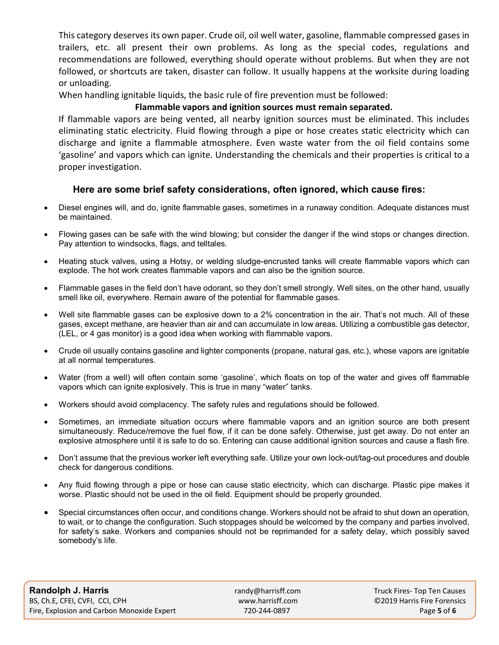This category deserves its own paper. Crude oil, oil well water, gasoline, flammable compressed gases in trailers, etc. all present their own problems. As long as the special codes, regulations and recommendations are followed, everything should operate without problems. But when they are not followed, or shortcuts are taken, disaster can follow. It usually happens at the worksite during loading or unloading.

When handling ignitable liquids, the basic rule of fire prevention must be followed:

#### **Flammable vapors and ignition sources must remain separated.**

If flammable vapors are being vented, all nearby ignition sources must be eliminated. This includes eliminating static electricity. Fluid flowing through a pipe or hose creates static electricity which can discharge and ignite a flammable atmosphere. Even waste water from the oil field contains some 'gasoline' and vapors which can ignite. Understanding the chemicals and their properties is critical to a proper investigation.

## **Here are some brief safety considerations, often ignored, which cause fires:**

- Diesel engines will, and do, ignite flammable gases, sometimes in a runaway condition. Adequate distances must be maintained.
- Flowing gases can be safe with the wind blowing; but consider the danger if the wind stops or changes direction. Pay attention to windsocks, flags, and telltales.
- Heating stuck valves, using a Hotsy, or welding sludge-encrusted tanks will create flammable vapors which can explode. The hot work creates flammable vapors and can also be the ignition source.
- Flammable gases in the field don't have odorant, so they don't smell strongly. Well sites, on the other hand, usually smell like oil, everywhere. Remain aware of the potential for flammable gases.
- Well site flammable gases can be explosive down to a 2% concentration in the air. That's not much. All of these gases, except methane, are heavier than air and can accumulate in low areas. Utilizing a combustible gas detector, (LEL, or 4 gas monitor) is a good idea when working with flammable vapors.
- Crude oil usually contains gasoline and lighter components (propane, natural gas, etc.), whose vapors are ignitable at all normal temperatures.
- Water (from a well) will often contain some 'gasoline', which floats on top of the water and gives off flammable vapors which can ignite explosively. This is true in many "water" tanks.
- Workers should avoid complacency. The safety rules and regulations should be followed.
- Sometimes, an immediate situation occurs where flammable vapors and an ignition source are both present simultaneously. Reduce/remove the fuel flow, if it can be done safely. Otherwise, just get away. Do not enter an explosive atmosphere until it is safe to do so. Entering can cause additional ignition sources and cause a flash fire.
- Don't assume that the previous worker left everything safe. Utilize your own lock-out/tag-out procedures and double check for dangerous conditions.
- Any fluid flowing through a pipe or hose can cause static electricity, which can discharge. Plastic pipe makes it worse. Plastic should not be used in the oil field. Equipment should be properly grounded.
- Special circumstances often occur, and conditions change. Workers should not be afraid to shut down an operation, to wait, or to change the configuration. Such stoppages should be welcomed by the company and parties involved, for safety's sake. Workers and companies should not be reprimanded for a safety delay, which possibly saved somebody's life.